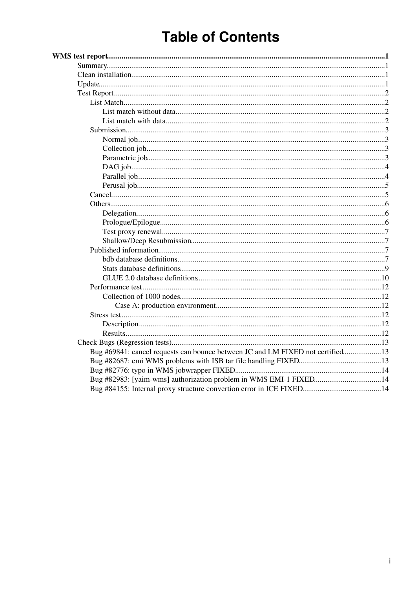# **Table of Contents**

| Bug #69841: cancel requests can bounce between JC and LM FIXED not certified13 |  |
|--------------------------------------------------------------------------------|--|
|                                                                                |  |
|                                                                                |  |
| Bug #82983: [yaim-wms] authorization problem in WMS EMI-1 FIXED14              |  |
|                                                                                |  |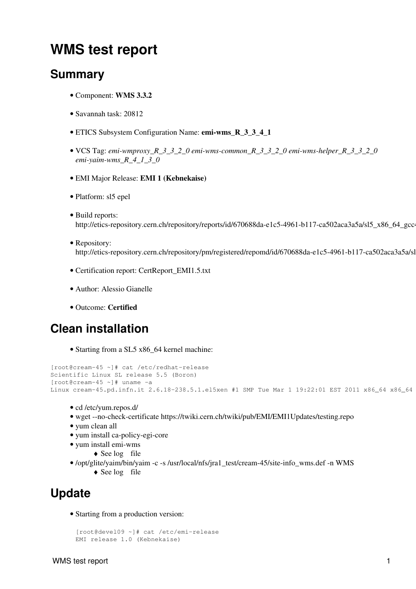# <span id="page-1-0"></span>**WMS test report**

## <span id="page-1-1"></span>**Summary**

- Component: **WMS 3.3.2**
- Savannah task: [20812](https://savannah.cern.ch/task/index.php?20812)
- ETICS Subsystem Configuration Name: **emi-wms\_R\_3\_3\_4\_1**
- VCS Tag: *emi-wmproxy\_R\_3\_3\_2\_0 emi-wms-common\_R\_3\_3\_2\_0 emi-wms-helper\_R\_3\_3\_2\_0 emi-yaim-wms\_R\_4\_1\_3\_0*
- EMI Major Release: **EMI 1 (Kebnekaise)**
- Platform: sl5 epel
- Build reports: http://etics-repository.cern.ch/repository/reports/id/670688da-e1c5-4961-b117-ca502aca3a5a/sl5\_x86\_64\_gcc4
- Repository: http://etics-repository.cern.ch/repository/pm/registered/repomd/id/670688da-e1c5-4961-b117-ca502aca3a5a/sl
- Certification report: [CertReport\\_EMI1.5.txt](https://wiki-igi.cnaf.infn.it/twiki/pub/WMS/Task20812/CertReport_EMI1.5.txt)
- Author: Alessio Gianelle
- Outcome: **Certified**

## <span id="page-1-2"></span>**Clean installation**

• Starting from a SL5 x86\_64 kernel machine:

```
[root@cream-45 ~]# cat /etc/redhat-release 
Scientific Linux SL release 5.5 (Boron)
[root@cream-45 ~]# uname -a
Linux cream-45.pd.infn.it 2.6.18-238.5.1.el5xen #1 SMP Tue Mar 1 19:22:01 EST 2011 x86_64 x86_64
```
- cd /etc/yum.repos.d/
- wget --no-check-certificate<https://twiki.cern.ch/twiki/pub/EMI/EMI1Updates/testing.repo>
- yum clean all
- yum install ca-policy-egi-core
- yum install emi-wms
	- ◆ See [log](http://wiki.italiangrid.org/twiki/pub/WMS/Task20812/install.txt) file
- /opt/glite/yaim/bin/yaim -c -s /usr/local/nfs/jra1\_test/cream-45/site-info\_wms.def -n WMS
	- ♦ See [log](http://wiki.italiangrid.org/twiki/pub/WMS/Task20812/configure.txt) file

## <span id="page-1-3"></span>**Update**

Starting from a production version: •

```
[root@devel09 ~]# cat /etc/emi-release 
EMI release 1.0 (Kebnekaise)
```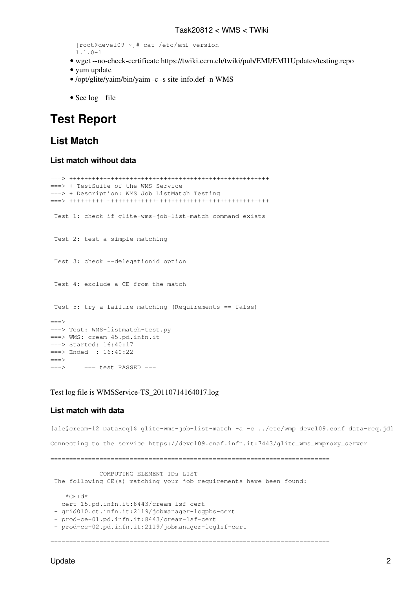```
[root@devel09 ~]# cat /etc/emi-version 
1.1.0-1
```
- wget --no-check-certificate<https://twiki.cern.ch/twiki/pub/EMI/EMI1Updates/testing.repo>
- yum update
- /opt/glite/yaim/bin/yaim -c -s site-info.def -n WMS
- See [log](http://wiki.italiangrid.org/twiki/pub/WMS/Task20812/update.txt) file

## <span id="page-2-0"></span>**Test Report**

## <span id="page-2-1"></span>**List Match**

#### <span id="page-2-2"></span>**List match without data**

```
===> +++++++++++++++++++++++++++++++++++++++++++++++++++++
===> + TestSuite of the WMS Service 
===> + Description: WMS Job ListMatch Testing 
===> +++++++++++++++++++++++++++++++++++++++++++++++++++++
 Test 1: check if glite-wms-job-list-match command exists 
 Test 2: test a simple matching 
 Test 3: check --delegationid option 
 Test 4: exclude a CE from the match 
 Test 5: try a failure matching (Requirements == false) 
===>===> Test: WMS-listmatch-test.py
===> WMS: cream-45.pd.infn.it
===> Started: 16:40:17
===> Ended : 16:40:22
===>===> === test PASSED ===
```
#### Test log file is [WMSService-TS\\_20110714164017.log](https://wiki-igi.cnaf.infn.it/twiki/pub/WMS/Task20812/WMSService-TS_20110714164017.log)

#### <span id="page-2-3"></span>**List match with data**

```
[ale@cream-12 DataReq]$ glite-wms-job-list-match -a -c ../etc/wmp_devel09.conf data-req.jdl
Connecting to the service https://devel09.cnaf.infn.it:7443/glite_wms_wmproxy_server
==========================================================================
              COMPUTING ELEMENT IDs LIST 
 The following CE(s) matching your job requirements have been found:
    *CEId*
 - cert-15.pd.infn.it:8443/cream-lsf-cert
 - grid010.ct.infn.it:2119/jobmanager-lcgpbs-cert
  - prod-ce-01.pd.infn.it:8443/cream-lsf-cert
  - prod-ce-02.pd.infn.it:2119/jobmanager-lcglsf-cert
 ==========================================================================
```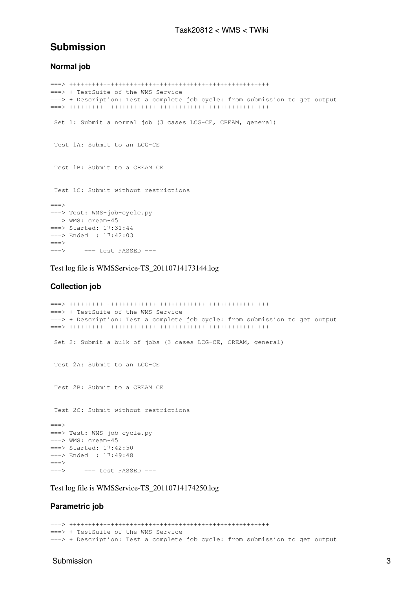### <span id="page-3-0"></span>**Submission**

#### <span id="page-3-1"></span>**Normal job**

```
===> +++++++++++++++++++++++++++++++++++++++++++++++++++++
===> + TestSuite of the WMS Service 
===> + Description: Test a complete job cycle: from submission to get output 
===> +++++++++++++++++++++++++++++++++++++++++++++++++++++
 Set 1: Submit a normal job (3 cases LCG-CE, CREAM, general) 
 Test 1A: Submit to an LCG-CE 
 Test 1B: Submit to a CREAM CE 
 Test 1C: Submit without restrictions 
====> Test: WMS-job-cycle.py
===> WMS: cream-45
===> Started: 17:31:44
===> Ended : 17:42:03
==->==> == test PASSED ==
```
Test log file is [WMSService-TS\\_20110714173144.log](https://wiki-igi.cnaf.infn.it/twiki/pub/WMS/Task20812/WMSService-TS_20110714173144.log)

#### <span id="page-3-2"></span>**Collection job**

```
===> +++++++++++++++++++++++++++++++++++++++++++++++++++++
===> + TestSuite of the WMS Service 
===> + Description: Test a complete job cycle: from submission to get output 
===> +++++++++++++++++++++++++++++++++++++++++++++++++++++
Set 2: Submit a bulk of jobs (3 cases LCG-CE, CREAM, general)
 Test 2A: Submit to an LCG-CE 
 Test 2B: Submit to a CREAM CE 
 Test 2C: Submit without restrictions 
===>===> Test: WMS-job-cycle.py
===> WMS: cream-45
===> Started: 17:42:50
===> Ended : 17:49:48
====> === test PASSED ===
```
Test log file is [WMSService-TS\\_20110714174250.log](https://wiki-igi.cnaf.infn.it/twiki/pub/WMS/Task20812/WMSService-TS_20110714174250.log)

#### <span id="page-3-3"></span>**Parametric job**

===> +++++++++++++++++++++++++++++++++++++++++++++++++++++ ===> + TestSuite of the WMS Service ===> + Description: Test a complete job cycle: from submission to get output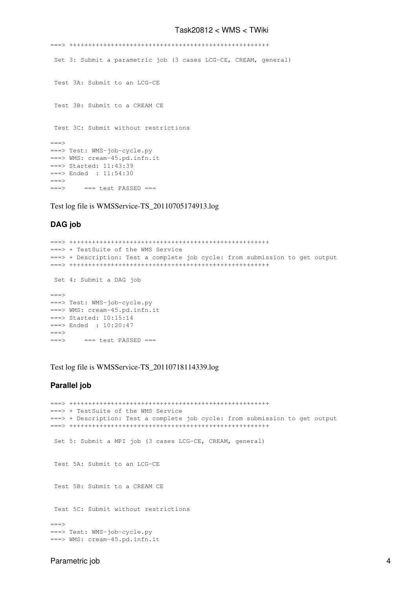===> +++++++++++++++++++++++++++++++++++++++++++++++++++++ Set 3: Submit a parametric job (3 cases LCG-CE, CREAM, general) Test 3A: Submit to an LCG-CE Test 3B: Submit to a CREAM CE Test 3C: Submit without restrictions  $==->$ ===> Test: WMS-job-cycle.py ===> WMS: cream-45.pd.infn.it ===> Started: 11:43:39 ===> Ended : 11:54:30  $==->$  $==> == test PASSED ==$ 

Test log file is [WMSService-TS\\_20110705174913.log](https://wiki-igi.cnaf.infn.it/twiki/pub/WMS/Task20812/WMSService-TS_20110705174913.log)

#### <span id="page-4-0"></span>**DAG job**

```
===> +++++++++++++++++++++++++++++++++++++++++++++++++++++
===> + TestSuite of the WMS Service 
===> + Description: Test a complete job cycle: from submission to get output 
===> +++++++++++++++++++++++++++++++++++++++++++++++++++++
 Set 4: Submit a DAG job 
====> Test: WMS-job-cycle.py
===> WMS: cream-45.pd.infn.it
===> Started: 10:15:14
===> Ended : 10:20:47
===> == test PASSED ==
```
Test log file is [WMSService-TS\\_20110718114339.log](https://wiki-igi.cnaf.infn.it/twiki/pub/WMS/Task20812/WMSService-TS_20110718114339.log)

#### <span id="page-4-1"></span>**Parallel job**

```
===> +++++++++++++++++++++++++++++++++++++++++++++++++++++
===> + TestSuite of the WMS Service 
===> + Description: Test a complete job cycle: from submission to get output 
===> +++++++++++++++++++++++++++++++++++++++++++++++++++++
 Set 5: Submit a MPI job (3 cases LCG-CE, CREAM, general) 
  Test 5A: Submit to an LCG-CE 
 Test 5B: Submit to a CREAM CE 
 Test 5C: Submit without restrictions 
===> 
===> Test: WMS-job-cycle.py
===> WMS: cream-45.pd.infn.it
```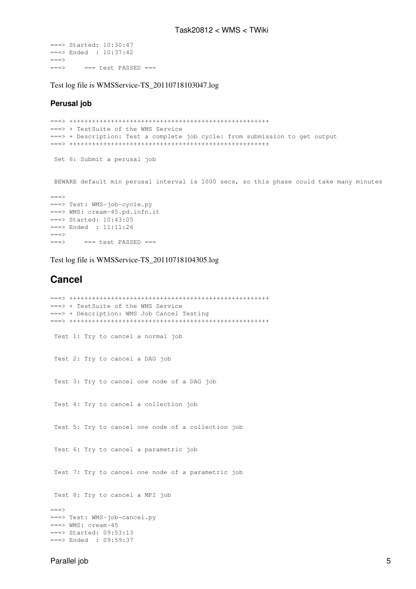```
===> Started: 10:30:47
===> Ended : 10:37:42
=-====> === test PASSED ===
```
Test log file is [WMSService-TS\\_20110718103047.log](https://wiki-igi.cnaf.infn.it/twiki/pub/WMS/Task20812/WMSService-TS_20110718103047.log)

#### <span id="page-5-0"></span>**Perusal job**

```
===> +++++++++++++++++++++++++++++++++++++++++++++++++++++
===> + TestSuite of the WMS Service 
===> + Description: Test a complete job cycle: from submission to get output 
===> +++++++++++++++++++++++++++++++++++++++++++++++++++++
 Set 6: Submit a perusal job
```
BEWARE default min perusal interval is 1000 secs, so this phase could take many minutes

```
===> 
===> Test: WMS-job-cycle.py
===> WMS: cream-45.pd.infn.it
===> Started: 10:43:05
===> Ended : 11:11:26
==->\Rightarrow \qquad === test PASSED ===
```
Test log file is [WMSService-TS\\_20110718104305.log](https://wiki-igi.cnaf.infn.it/twiki/pub/WMS/Task20812/WMSService-TS_20110718104305.log)

### <span id="page-5-1"></span>**Cancel**

```
===> +++++++++++++++++++++++++++++++++++++++++++++++++++++
===> + TestSuite of the WMS Service 
===> + Description: WMS Job Cancel Testing 
===> +++++++++++++++++++++++++++++++++++++++++++++++++++++
 Test 1: Try to cancel a normal job 
  Test 2: Try to cancel a DAG job 
  Test 3: Try to cancel one node of a DAG job 
  Test 4: Try to cancel a collection job 
  Test 5: Try to cancel one node of a collection job 
  Test 6: Try to cancel a parametric job 
  Test 7: Try to cancel one node of a parametric job 
 Test 8: Try to cancel a MPI job 
===> 
===> Test: WMS-job-cancel.py
===> WMS: cream-45
===> Started: 09:53:13
===> Ended : 09:59:37
```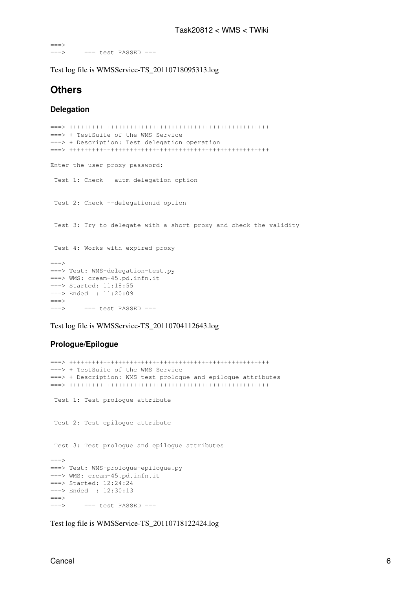$=$ ===> === test PASSED ===

Test log file is [WMSService-TS\\_20110718095313.log](https://wiki-igi.cnaf.infn.it/twiki/pub/WMS/Task20812/WMSService-TS_20110718095313.log)

## <span id="page-6-0"></span>**Others**

#### <span id="page-6-1"></span>**Delegation**

```
===> +++++++++++++++++++++++++++++++++++++++++++++++++++++
===> + TestSuite of the WMS Service 
===> + Description: Test delegation operation 
===> +++++++++++++++++++++++++++++++++++++++++++++++++++++
Enter the user proxy password:
 Test 1: Check --autm-delegation option 
 Test 2: Check --delegationid option 
 Test 3: Try to delegate with a short proxy and check the validity 
 Test 4: Works with expired proxy 
====> Test: WMS-delegation-test.py
===> WMS: cream-45.pd.infn.it
===> Started: 11:18:55
===> Ended : 11:20:09
==->===> === test PASSED ===
```
Test log file is [WMSService-TS\\_20110704112643.log](https://wiki-igi.cnaf.infn.it/twiki/pub/WMS/Task20812/WMSService-TS_20110704112643.log)

#### <span id="page-6-2"></span>**Prologue/Epilogue**

```
===> +++++++++++++++++++++++++++++++++++++++++++++++++++++
===> + TestSuite of the WMS Service 
===> + Description: WMS test prologue and epilogue attributes 
===> +++++++++++++++++++++++++++++++++++++++++++++++++++++
 Test 1: Test prologue attribute 
 Test 2: Test epilogue attribute 
 Test 3: Test prologue and epilogue attributes 
===> 
===> Test: WMS-prologue-epilogue.py
===> WMS: cream-45.pd.infn.it
===> Started: 12:24:24
===> Ended : 12:30:13
==->===> === test PASSED ===
```
Test log file is [WMSService-TS\\_20110718122424.log](https://wiki-igi.cnaf.infn.it/twiki/pub/WMS/Task20812/WMSService-TS_20110718122424.log)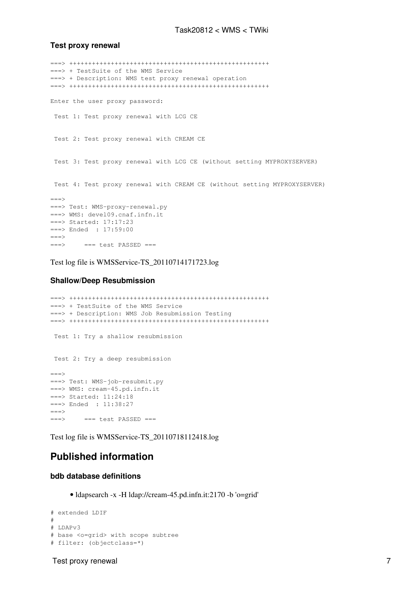#### <span id="page-7-0"></span>**Test proxy renewal**

```
===> +++++++++++++++++++++++++++++++++++++++++++++++++++++
===> + TestSuite of the WMS Service 
===> + Description: WMS test proxy renewal operation 
===> +++++++++++++++++++++++++++++++++++++++++++++++++++++
Enter the user proxy password:
 Test 1: Test proxy renewal with LCG CE 
 Test 2: Test proxy renewal with CREAM CE 
 Test 3: Test proxy renewal with LCG CE (without setting MYPROXYSERVER) 
 Test 4: Test proxy renewal with CREAM CE (without setting MYPROXYSERVER) 
====> Test: WMS-proxy-renewal.py
===> WMS: devel09.cnaf.infn.it
===> Started: 17:17:23
===> Ended : 17:59:00
===> == test PASSED ==
```
Test log file is [WMSService-TS\\_20110714171723.log](https://wiki-igi.cnaf.infn.it/twiki/pub/WMS/Task20812/WMSService-TS_20110714171723.log)

#### <span id="page-7-1"></span>**Shallow/Deep Resubmission**

```
===> +++++++++++++++++++++++++++++++++++++++++++++++++++++
===> + TestSuite of the WMS Service 
===> + Description: WMS Job Resubmission Testing 
===> +++++++++++++++++++++++++++++++++++++++++++++++++++++
 Test 1: Try a shallow resubmission 
 Test 2: Try a deep resubmission 
==->===> Test: WMS-job-resubmit.py
===> WMS: cream-45.pd.infn.it
===> Started: 11:24:18
===> Ended : 11:38:27
===> == test PASSED ==
```
Test log file is [WMSService-TS\\_20110718112418.log](https://wiki-igi.cnaf.infn.it/twiki/pub/WMS/Task20812/WMSService-TS_20110718112418.log)

## <span id="page-7-2"></span>**Published information**

#### <span id="page-7-3"></span>**bdb database definitions**

• ldapsearch -x -H ldap://cream-45.pd.infn.it:2170 -b 'o=grid'

```
# extended LDIF
#
# LDAPv3
# base <o=grid> with scope subtree
# filter: (objectclass=*)
```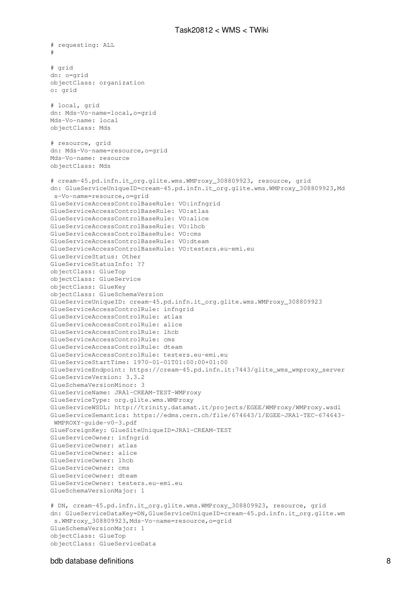# requesting: ALL # # grid dn: o=grid objectClass: organization o: grid # local, grid dn: Mds-Vo-name=local,o=grid Mds-Vo-name: local objectClass: Mds # resource, grid dn: Mds-Vo-name=resource,o=grid Mds-Vo-name: resource objectClass: Mds # cream-45.pd.infn.it\_org.glite.wms.WMProxy\_308809923, resource, grid dn: GlueServiceUniqueID=cream-45.pd.infn.it\_org.glite.wms.WMProxy\_308809923,Md s-Vo-name=resource,o=grid GlueServiceAccessControlBaseRule: VO:infngrid GlueServiceAccessControlBaseRule: VO:atlas GlueServiceAccessControlBaseRule: VO:alice GlueServiceAccessControlBaseRule: VO:lhcb GlueServiceAccessControlBaseRule: VO:cms GlueServiceAccessControlBaseRule: VO:dteam GlueServiceAccessControlBaseRule: VO:testers.eu-emi.eu GlueServiceStatus: Other GlueServiceStatusInfo: ?? objectClass: GlueTop objectClass: GlueService objectClass: GlueKey objectClass: GlueSchemaVersion GlueServiceUniqueID: cream-45.pd.infn.it\_org.glite.wms.WMProxy\_308809923 GlueServiceAccessControlRule: infngrid GlueServiceAccessControlRule: atlas GlueServiceAccessControlRule: alice GlueServiceAccessControlRule: lhcb GlueServiceAccessControlRule: cms GlueServiceAccessControlRule: dteam GlueServiceAccessControlRule: testers.eu-emi.eu GlueServiceStartTime: 1970-01-01T01:00:00+01:00 GlueServiceEndpoint: https://cream-45.pd.infn.it:7443/glite\_wms\_wmproxy\_server GlueServiceVersion: 3.3.2 GlueSchemaVersionMinor: 3 GlueServiceName: JRA1-CREAM-TEST-WMProxy GlueServiceType: org.glite.wms.WMProxy GlueServiceWSDL: http://trinity.datamat.it/projects/EGEE/WMProxy/WMProxy.wsdl GlueServiceSemantics: https://edms.cern.ch/file/674643/1/EGEE-JRA1-TEC-674643- WMPROXY-guide-v0-3.pdf GlueForeignKey: GlueSiteUniqueID=JRA1-CREAM-TEST GlueServiceOwner: infngrid GlueServiceOwner: atlas GlueServiceOwner: alice GlueServiceOwner: lhcb GlueServiceOwner: cms GlueServiceOwner: dteam GlueServiceOwner: testers.eu-emi.eu GlueSchemaVersionMajor: 1 # DN, cream-45.pd.infn.it\_org.glite.wms.WMProxy\_308809923, resource, grid dn: GlueServiceDataKey=DN,GlueServiceUniqueID=cream-45.pd.infn.it\_org.glite.wm s.WMProxy\_308809923,Mds-Vo-name=resource,o=grid GlueSchemaVersionMajor: 1 objectClass: GlueTop objectClass: GlueServiceData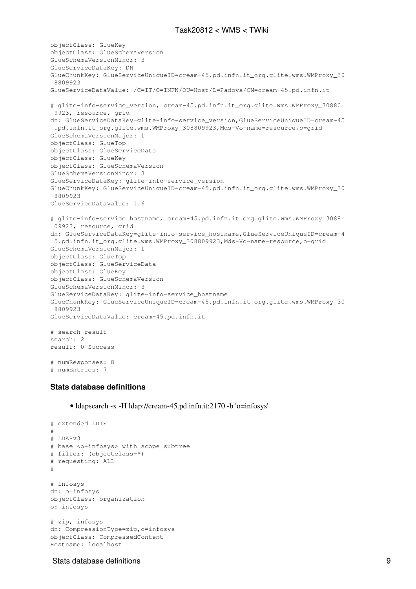```
objectClass: GlueKey
objectClass: GlueSchemaVersion
GlueSchemaVersionMinor: 3
GlueServiceDataKey: DN
GlueChunkKey: GlueServiceUniqueID=cream-45.pd.infn.it_org.glite.wms.WMProxy_30
  8809923
GlueServiceDataValue: /C=IT/O=INFN/OU=Host/L=Padova/CN=cream-45.pd.infn.it
# glite-info-service_version, cream-45.pd.infn.it_org.glite.wms.WMProxy_30880
 9923, resource, grid
dn: GlueServiceDataKey=glite-info-service version,GlueServiceUniqueID=cream-45
 .pd.infn.it_org.glite.wms.WMProxy_308809923,Mds-Vo-name=resource,o=grid
GlueSchemaVersionMajor: 1
objectClass: GlueTop
objectClass: GlueServiceData
objectClass: GlueKey
objectClass: GlueSchemaVersion
GlueSchemaVersionMinor: 3
GlueServiceDataKey: glite-info-service_version
GlueChunkKey: GlueServiceUniqueID=cream-45.pd.infn.it_org.glite.wms.WMProxy_30
 8809923
GlueServiceDataValue: 1.6
# glite-info-service_hostname, cream-45.pd.infn.it_org.glite.wms.WMProxy_3088
 09923, resource, grid
dn: GlueServiceDataKey=glite-info-service_hostname,GlueServiceUniqueID=cream-4
 5.pd.infn.it_org.glite.wms.WMProxy_308809923,Mds-Vo-name=resource,o=grid
GlueSchemaVersionMajor: 1
objectClass: GlueTop
objectClass: GlueServiceData
objectClass: GlueKey
objectClass: GlueSchemaVersion
GlueSchemaVersionMinor: 3
GlueServiceDataKey: glite-info-service_hostname
GlueChunkKey: GlueServiceUniqueID=cream-45.pd.infn.it_org.glite.wms.WMProxy_30
 8809923
GlueServiceDataValue: cream-45.pd.infn.it
# search result
search: 2
result: 0 Success
# numResponses: 8
# numEntries: 7
```
#### <span id="page-9-0"></span>**Stats database definitions**

• ldapsearch -x -H ldap://cream-45.pd.infn.it:2170 -b 'o=infosys'

```
# extended LDIF
#
# LDAPv3
# base <o=infosys> with scope subtree
# filter: (objectclass=*)
# requesting: ALL
#
# infosys
dn: o=infosys
objectClass: organization
o: infosys
# zip, infosys
dn: CompressionType=zip,o=infosys
objectClass: CompressedContent
```
Hostname: localhost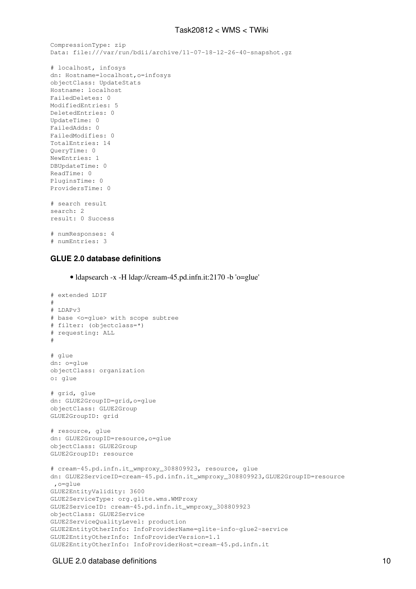```
CompressionType: zip
Data: file:///var/run/bdii/archive/11-07-18-12-26-40-snapshot.gz
```

```
# localhost, infosys
dn: Hostname=localhost,o=infosys
objectClass: UpdateStats
Hostname: localhost
FailedDeletes: 0
ModifiedEntries: 5
DeletedEntries: 0
UpdateTime: 0
FailedAdds: 0
FailedModifies: 0
TotalEntries: 14
QueryTime: 0
NewEntries: 1
DBUpdateTime: 0
ReadTime: 0
PluginsTime: 0
ProvidersTime: 0
# search result
search: 2
result: 0 Success
# numResponses: 4
# numEntries: 3
```
#### <span id="page-10-0"></span>**GLUE 2.0 database definitions**

• ldapsearch -x -H ldap://cream-45.pd.infn.it:2170 -b 'o=glue'

```
# extended LDIF
#
# LDAPv3
# base <o=glue> with scope subtree
# filter: (objectclass=*)
# requesting: ALL
#
# glue
dn: o=glue
objectClass: organization
o: glue
# grid, glue
dn: GLUE2GroupID=grid,o=glue
objectClass: GLUE2Group
GLUE2GroupID: grid
# resource, glue
dn: GLUE2GroupID=resource,o=glue
objectClass: GLUE2Group
GLUE2GroupID: resource
# cream-45.pd.infn.it_wmproxy_308809923, resource, glue
dn: GLUE2ServiceID=cream-45.pd.infn.it_wmproxy_308809923,GLUE2GroupID=resource
 ,o=glue
GLUE2EntityValidity: 3600
GLUE2ServiceType: org.glite.wms.WMProxy
GLUE2ServiceID: cream-45.pd.infn.it_wmproxy_308809923
objectClass: GLUE2Service
GLUE2ServiceQualityLevel: production
GLUE2EntityOtherInfo: InfoProviderName=glite-info-glue2-service
GLUE2EntityOtherInfo: InfoProviderVersion=1.1
GLUE2EntityOtherInfo: InfoProviderHost=cream-45.pd.infn.it
```
#### GLUE 2.0 database definitions **10** and 20 and 20 and 20 and 20 and 20 and 20 and 20 and 20 and 20 and 20 and 20 and 20 and 20 and 20 and 20 and 20 and 20 and 20 and 20 and 20 and 20 and 20 and 20 and 20 and 20 and 20 and 2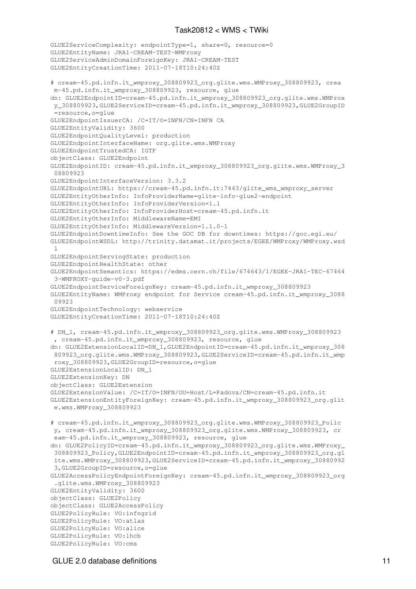```
GLUE2ServiceComplexity: endpointType=1, share=0, resource=0
GLUE2EntityName: JRA1-CREAM-TEST-WMProxy
GLUE2ServiceAdminDomainForeignKey: JRA1-CREAM-TEST
GLUE2EntityCreationTime: 2011-07-18T10:24:40Z
# cream-45.pd.infn.it_wmproxy_308809923_org.glite.wms.WMProxy_308809923, crea
 m-45.pd.infn.it_wmproxy_308809923, resource, glue
dn: GLUE2EndpointID=cream-45.pd.infn.it_wmproxy_308809923_org.glite.wms.WMProx
 y_308809923,GLUE2ServiceID=cream-45.pd.infn.it_wmproxy_308809923,GLUE2GroupID
 =resource,o=glue
GLUE2EndpointIssuerCA: /C=IT/O=INFN/CN=INFN CA
GLUE2EntityValidity: 3600
GLUE2EndpointQualityLevel: production
GLUE2EndpointInterfaceName: org.glite.wms.WMProxy
GLUE2EndpointTrustedCA: IGTF
objectClass: GLUE2Endpoint
GLUE2EndpointID: cream-45.pd.infn.it_wmproxy_308809923_org.glite.wms.WMProxy_3
 08809923
GLUE2EndpointInterfaceVersion: 3.3.2
GLUE2EndpointURL: https://cream-45.pd.infn.it:7443/glite_wms_wmproxy_server
GLUE2EntityOtherInfo: InfoProviderName=glite-info-glue2-endpoint
GLUE2EntityOtherInfo: InfoProviderVersion=1.1
GLUE2EntityOtherInfo: InfoProviderHost=cream-45.pd.infn.it
GLUE2EntityOtherInfo: MiddlewareName=EMI
GLUE2EntityOtherInfo: MiddlewareVersion=1.1.0-1
GLUE2EndpointDowntimeInfo: See the GOC DB for downtimes: https://goc.egi.eu/
GLUE2EndpointWSDL: http://trinity.datamat.it/projects/EGEE/WMProxy/WMProxy.wsd
\overline{1}GLUE2EndpointServingState: production
GLUE2EndpointHealthState: other
GLUE2EndpointSemantics: https://edms.cern.ch/file/674643/1/EGEE-JRA1-TEC-67464
  3-WMPROXY-guide-v0-3.pdf
GLUE2EndpointServiceForeignKey: cream-45.pd.infn.it_wmproxy_308809923
GLUE2EntityName: WMProxy endpoint for Service cream-45.pd.infn.it_wmproxy_3088
 09923
GLUE2EndpointTechnology: webservice
GLUE2EntityCreationTime: 2011-07-18T10:24:40Z
# DN_1, cream-45.pd.infn.it_wmproxy_308809923_org.glite.wms.WMProxy_308809923
  , cream-45.pd.infn.it_wmproxy_308809923, resource, glue
dn: GLUE2ExtensionLocalID=DN_1,GLUE2EndpointID=cream-45.pd.infn.it_wmproxy_308
 809923_org.glite.wms.WMProxy_308809923,GLUE2ServiceID=cream-45.pd.infn.it_wmp
 roxy_308809923,GLUE2GroupID=resource,o=glue
GLUE2ExtensionLocalID: DN_1
GLUE2ExtensionKey: DN
objectClass: GLUE2Extension
GLUE2ExtensionValue: /C=IT/O=INFN/OU=Host/L=Padova/CN=cream-45.pd.infn.it
GLUE2ExtensionEntityForeignKey: cream-45.pd.infn.it_wmproxy_308809923_org.glit
 e.wms.WMProxy_308809923
# cream-45.pd.infn.it_wmproxy_308809923_org.glite.wms.WMProxy_308809923_Polic
 y, cream-45.pd.infn.it_wmproxy_308809923_org.glite.wms.WMProxy_308809923, cr
 eam-45.pd.infn.it_wmproxy_308809923, resource, glue
dn: GLUE2PolicyID=cream-45.pd.infn.it_wmproxy_308809923_org.glite.wms.WMProxy_
  308809923_Policy,GLUE2EndpointID=cream-45.pd.infn.it_wmproxy_308809923_org.gl
  ite.wms.WMProxy_308809923,GLUE2ServiceID=cream-45.pd.infn.it_wmproxy_30880992
  3,GLUE2GroupID=resource,o=glue
GLUE2AccessPolicyEndpointForeignKey: cream-45.pd.infn.it_wmproxy_308809923_org
  .glite.wms.WMProxy_308809923
GLUE2EntityValidity: 3600
objectClass: GLUE2Policy
objectClass: GLUE2AccessPolicy
GLUE2PolicyRule: VO:infngrid
GLUE2PolicyRule: VO:atlas
GLUE2PolicyRule: VO:alice
GLUE2PolicyRule: VO:lhcb
GLUE2PolicyRule: VO:cms
```
#### GLUE 2.0 database definitions 11 and 200 minutes and 200 minutes of the 11 and 200 minutes of the 11 and 200 minutes of the 11 and 200 minutes of the 11 and 200 minutes of the 11 and 200 minutes of the 12 and 200 minutes o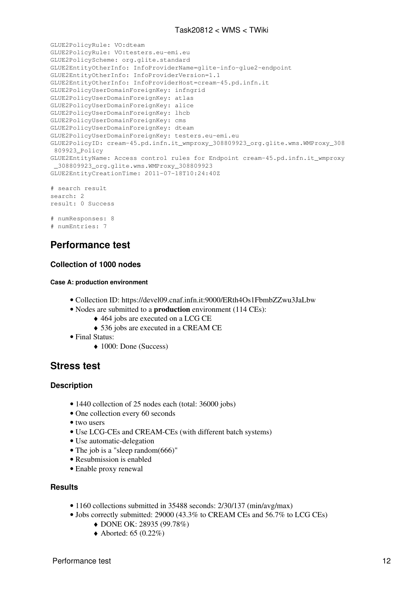```
GLUE2PolicyRule: VO:dteam
GLUE2PolicyRule: VO:testers.eu-emi.eu
GLUE2PolicyScheme: org.glite.standard
GLUE2EntityOtherInfo: InfoProviderName=glite-info-glue2-endpoint
GLUE2EntityOtherInfo: InfoProviderVersion=1.1
GLUE2EntityOtherInfo: InfoProviderHost=cream-45.pd.infn.it
GLUE2PolicyUserDomainForeignKey: infngrid
GLUE2PolicyUserDomainForeignKey: atlas
GLUE2PolicyUserDomainForeignKey: alice
GLUE2PolicyUserDomainForeignKey: lhcb
GLUE2PolicyUserDomainForeignKey: cms
GLUE2PolicyUserDomainForeignKey: dteam
GLUE2PolicyUserDomainForeignKey: testers.eu-emi.eu
GLUE2PolicyID: cream-45.pd.infn.it_wmproxy_308809923_org.glite.wms.WMProxy_308
 809923_Policy
GLUE2EntityName: Access control rules for Endpoint cream-45.pd.infn.it_wmproxy
  _308809923_org.glite.wms.WMProxy_308809923
GLUE2EntityCreationTime: 2011-07-18T10:24:40Z
# search result
search: 2
result: 0 Success
# numResponses: 8
```

```
# numEntries: 7
```
## <span id="page-12-0"></span>**Performance test**

#### <span id="page-12-1"></span>**Collection of 1000 nodes**

#### <span id="page-12-2"></span>**Case A: production environment**

- Collection ID: <https://devel09.cnaf.infn.it:9000/ERth4Os1FbmbZZwu3JaLbw>
- Nodes are submitted to a **production** environment (114 CEs):
	- ◆ 464 jobs are executed on a LCG CE
	- ♦ 536 jobs are executed in a CREAM CE
- Final Status:
	- ◆ 1000: Done (Success)

## <span id="page-12-3"></span>**Stress test**

#### <span id="page-12-4"></span>**Description**

- 1440 collection of 25 nodes each (total: 36000 jobs)
- One collection every 60 seconds
- two users
- Use LCG-CEs and CREAM-CEs (with different batch systems)
- Use automatic-delegation
- The job is a "sleep random(666)"
- Resubmission is enabled
- Enable proxy renewal

#### <span id="page-12-5"></span>**Results**

- 1160 collections submitted in 35488 seconds: 2/30/137 (min/avg/max)
- Jobs correctly submitted: 29000 (43.3% to CREAM CEs and 56.7% to LCG CEs)
	- ♦ DONE OK: 28935 (99.78%)
	- $\triangle$  Aborted: 65 (0.22%)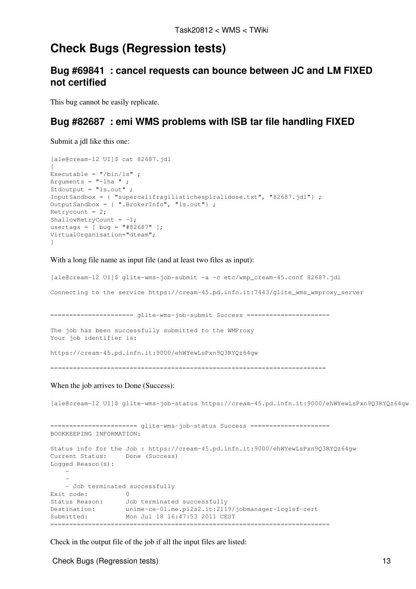## <span id="page-13-0"></span>**Check Bugs (Regression tests)**

## <span id="page-13-1"></span>**Bug [#69841](https://savannah.cern.ch/bugs/index.php?69841) : cancel requests can bounce between JC and LM FIXED not certified**

This bug cannot be easily replicate.

## <span id="page-13-2"></span>**Bug [#82687](https://savannah.cern.ch/bugs/index.php?82687) : emi WMS problems with ISB tar file handling FIXED**

Submit a jdl like this one:

```
[ale@cream-12 UI]$ cat 82687.jdl 
\sqrt{ }Executable = ''/\text{bin}/\text{ls}";
Arguments = "-lha ";
Stdoutput = "ls.out" ;
InputSandbox = { "supercalifragilistichespiralidose.txt", "82687.jdl"} ;
OutputSandbox = { ".BrokerInfo", "ls.out"} ;
Retrycount = 2;
ShallowRetryCount = -1;
usertags = [ bug = "#82687" ];
VirtualOrganisation="dteam";
]
```
With a long file name as input file (and at least two files as input):

[ale@cream-12 UI]\$ glite-wms-job-submit -a -c etc/wmp\_cream-45.conf 82687.jdl Connecting to the service https://cream-45.pd.infn.it:7443/glite\_wms\_wmproxy\_server ====================== glite-wms-job-submit Success ====================== The job has been successfully submitted to the WMProxy Your job identifier is: https://cream-45.pd.infn.it:9000/ehWYewLsPxn9Q3RYQz64gw =========================================================================

#### When the job arrives to Done (Success):

[ale@cream-12 UI]\$ glite-wms-job-status https://cream-45.pd.infn.it:9000/ehWYewLsPxn9Q3RYQz64gw

```
======================= glite-wms-job-status Success =====================
BOOKKEEPING INFORMATION:
Status info for the Job : https://cream-45.pd.infn.it:9000/ehWYewLsPxn9Q3RYQz64gw
Current Status: Done (Success)
Logged Reason(s):
-- - Job terminated successfully
Exit code: 0
Status Reason: Job terminated successfully
Destination: unime-ce-01.me.pi2s2.it:2119/jobmanager-lcglsf-cert
Submitted: Mon Jul 18 16:47:53 2011 CEST
==========================================================================
```
Check in the output file of the job if all the input files are listed:

Check Bugs (Regression tests) 13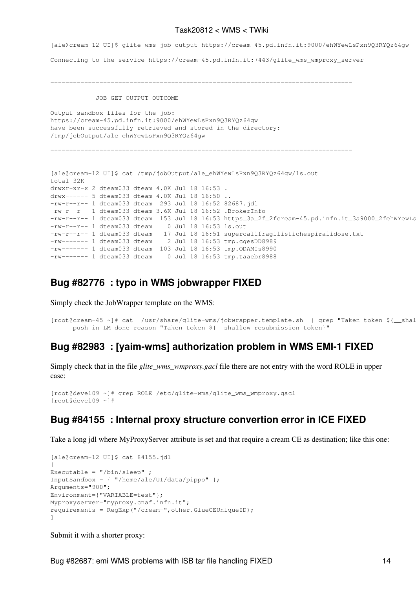[ale@cream-12 UI]\$ glite-wms-job-output https://cream-45.pd.infn.it:9000/ehWYewLsPxn9Q3RYQz64gw Connecting to the service https://cream-45.pd.infn.it:7443/glite\_wms\_wmproxy\_server

================================================================================

JOB GET OUTPUT OUTCOME

```
Output sandbox files for the job:
https://cream-45.pd.infn.it:9000/ehWYewLsPxn9Q3RYQz64gw
have been successfully retrieved and stored in the directory:
/tmp/jobOutput/ale_ehWYewLsPxn9Q3RYQz64gw
================================================================================
[ale@cream-12 UI]$ cat /tmp/jobOutput/ale_ehWYewLsPxn9Q3RYQz64gw/ls.out 
total 32K
drwxr-xr-x 2 dteam033 dteam 4.0K Jul 18 16:53 .
drwx------ 5 dteam033 dteam 4.0K Jul 18 16:50 ..
-rw-r--r-- 1 dteam033 dteam 293 Jul 18 16:52 82687.jdl
-rw-r--r-- 1 dteam033 dteam 3.6K Jul 18 16:52 .BrokerInfo
-rw-r--r-- 1 dteam033 dteam 153 Jul 18 16:53 https_3a_2f_2fcream-45.pd.infn.it_3a9000_2fehWYewLs
-rw-r--r-1 dteam033 dteam 0 Jul 18 16:53 ls.out
-rw-r--r-- 1 dteam033 dteam 17 Jul 18 16:51 supercalifragilistichespiralidose.txt
-rw------- 1 dteam033 dteam 2 Jul 18 16:53 tmp.cgesDD8989
-rw------- 1 dteam033 dteam 103 Jul 18 16:53 tmp. ODAMIs8990
-rw------- 1 dteam033 dteam 0 Jul 18 16:53 tmp.taaebr8988
```
### <span id="page-14-0"></span>**Bug [#82776](https://savannah.cern.ch/bugs/index.php?82776) : typo in WMS jobwrapper FIXED**

Simply check the JobWrapper template on the WMS:

```
[root@cream-45 ~]# cat /usr/share/glite-wms/jobwrapper.template.sh | grep "Taken token ${__shal
     push_in_LM_done_reason "Taken token ${__shallow_resubmission_token}"
```
## <span id="page-14-1"></span>**Bug [#82983](https://savannah.cern.ch/bugs/index.php?82983) : [yaim-wms] authorization problem in WMS EMI-1 FIXED**

Simply check that in the file *glite\_wms\_wmproxy.gacl* file there are not entry with the word ROLE in upper case:

```
[root@devel09 ~]# grep ROLE /etc/glite-wms/glite_wms_wmproxy.gacl 
[root@devel09 ~]#
```
## <span id="page-14-2"></span>**Bug [#84155](https://savannah.cern.ch/bugs/?84155) : Internal proxy structure convertion error in ICE FIXED**

Take a long jdl where MyProxyServer attribute is set and that require a cream CE as destination; like this one:

```
[ale@cream-12 UI]$ cat 84155.jdl 
[
Executable = ''/\text{bin/sleep} ;
InputSandbox = \{ "/home/ale/UI/data/pippo" };
Arguments="900";
Environment={"VARIABLE=test"};
Myproxyserver="myproxy.cnaf.infn.it";
requirements = RegExp("/cream-",other.GlueCEUniqueID);
]
```
Submit it with a shorter proxy: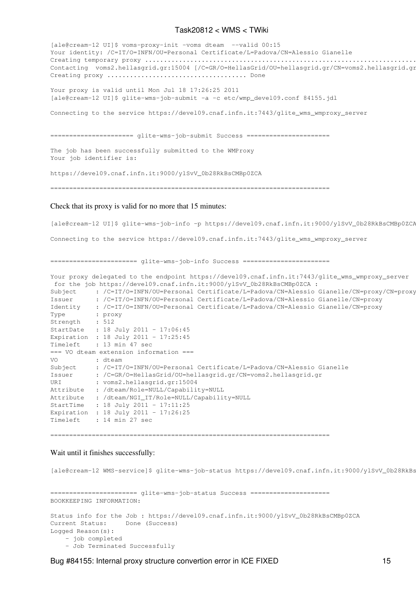[ale@cream-12 UI]\$ voms-proxy-init -voms dteam --valid 00:15 Your identity: /C=IT/O=INFN/OU=Personal Certificate/L=Padova/CN=Alessio Gianelle Creating temporary proxy .................................................................................................................... Done Contacting voms2.hellasgrid.gr:15004 [/C=GR/O=HellasGrid/OU=hellasgrid.gr/CN=voms2.hellasgrid.gr Creating proxy ..................................... Done Your proxy is valid until Mon Jul 18 17:26:25 2011 [ale@cream-12 UI]\$ glite-wms-job-submit -a -c etc/wmp\_devel09.conf 84155.jdl Connecting to the service https://devel09.cnaf.infn.it:7443/glite\_wms\_wmproxy\_server ====================== glite-wms-job-submit Success ====================== The job has been successfully submitted to the WMProxy Your job identifier is: https://devel09.cnaf.infn.it:9000/ylSvV\_0b28RkBsCMBp0ZCA ========================================================================== Check that its proxy is valid for no more that 15 minutes: [ale@cream-12 UI]\$ glite-wms-job-info -p https://devel09.cnaf.infn.it:9000/ylSvV\_0b28RkBsCMBp0ZCA

Connecting to the service https://devel09.cnaf.infn.it:7443/glite\_wms\_wmproxy\_server

======================= glite-wms-job-info Success =======================

Your proxy delegated to the endpoint https://devel09.cnaf.infn.it:7443/glite\_wms\_wmproxy\_server for the job https://devel09.cnaf.infn.it:9000/ylSvV\_0b28RkBsCMBp0ZCA : Subject : /C=IT/O=INFN/OU=Personal Certificate/L=Padova/CN=Alessio Gianelle/CN=proxy/CN=proxy Issuer : /C=IT/O=INFN/OU=Personal Certificate/L=Padova/CN=Alessio Gianelle/CN=proxy Identity : /C=IT/O=INFN/OU=Personal Certificate/L=Padova/CN=Alessio Gianelle/CN=proxy Type : proxy Strength : 512 StartDate : 18 July 2011 - 17:06:45 Expiration : 18 July 2011 - 17:25:45 Timeleft : 13 min 47 sec === VO dteam extension information === VO : dteam Subject : /C=IT/O=INFN/OU=Personal Certificate/L=Padova/CN=Alessio Gianelle<br>Issuer : /C=GR/O=HellasGrid/OU=hellasgrid.gr/CN=voms2.hellasgrid.gr : /C=GR/O=HellasGrid/OU=hellasgrid.gr/CN=voms2.hellasgrid.gr URI : voms2.hellasgrid.gr:15004 Attribute : /dteam/Role=NULL/Capability=NULL Attribute : /dteam/NGI\_IT/Role=NULL/Capability=NULL StartTime : 18 July 2011 - 17:11:25 Expiration : 18 July 2011 - 17:26:25 Timeleft : 14 min 27 sec

==========================================================================

#### Wait until it finishes successfully:

[ale@cream-12 WMS-service]\$ glite-wms-job-status https://devel09.cnaf.infn.it:9000/ylSvV\_0b28RkBs ======================= glite-wms-job-status Success ======================= BOOKKEEPING INFORMATION: Status info for the Job : https://devel09.cnaf.infn.it:9000/ylSvV\_0b28RkBsCMBp0ZCA Current Status: Done (Success) Logged Reason(s): - job completed - Job Terminated Successfully

Bug #84155: Internal proxy structure convertion error in ICE FIXED 15